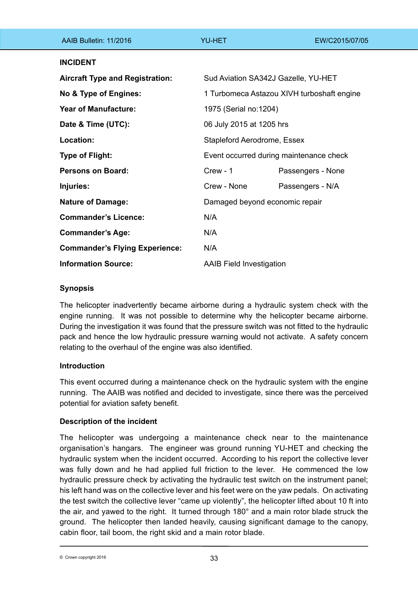| AAIB Bulletin: 11/2016                 | <b>YU-HET</b>                              | EW/C2015/07/05    |
|----------------------------------------|--------------------------------------------|-------------------|
| <b>INCIDENT</b>                        |                                            |                   |
| <b>Aircraft Type and Registration:</b> | Sud Aviation SA342J Gazelle, YU-HET        |                   |
| No & Type of Engines:                  | 1 Turbomeca Astazou XIVH turboshaft engine |                   |
| <b>Year of Manufacture:</b>            | 1975 (Serial no:1204)                      |                   |
| Date & Time (UTC):                     | 06 July 2015 at 1205 hrs                   |                   |
| Location:                              | Stapleford Aerodrome, Essex                |                   |
| <b>Type of Flight:</b>                 | Event occurred during maintenance check    |                   |
| <b>Persons on Board:</b>               | Crew - 1                                   | Passengers - None |
| Injuries:                              | Crew - None                                | Passengers - N/A  |
| <b>Nature of Damage:</b>               | Damaged beyond economic repair             |                   |
| <b>Commander's Licence:</b>            | N/A                                        |                   |
| <b>Commander's Age:</b>                | N/A                                        |                   |
| <b>Commander's Flying Experience:</b>  | N/A                                        |                   |
| <b>Information Source:</b>             | <b>AAIB Field Investigation</b>            |                   |

# **Synopsis**

The helicopter inadvertently became airborne during a hydraulic system check with the engine running. It was not possible to determine why the helicopter became airborne. During the investigation it was found that the pressure switch was not fitted to the hydraulic pack and hence the low hydraulic pressure warning would not activate. A safety concern relating to the overhaul of the engine was also identified.

## **Introduction**

This event occurred during a maintenance check on the hydraulic system with the engine running. The AAIB was notified and decided to investigate, since there was the perceived potential for aviation safety benefit.

## **Description of the incident**

The helicopter was undergoing a maintenance check near to the maintenance organisation's hangars. The engineer was ground running YU-HET and checking the hydraulic system when the incident occurred. According to his report the collective lever was fully down and he had applied full friction to the lever. He commenced the low hydraulic pressure check by activating the hydraulic test switch on the instrument panel; his left hand was on the collective lever and his feet were on the yaw pedals. On activating the test switch the collective lever "came up violently", the helicopter lifted about 10 ft into the air, and yawed to the right. It turned through 180° and a main rotor blade struck the ground. The helicopter then landed heavily, causing significant damage to the canopy, cabin floor, tail boom, the right skid and a main rotor blade.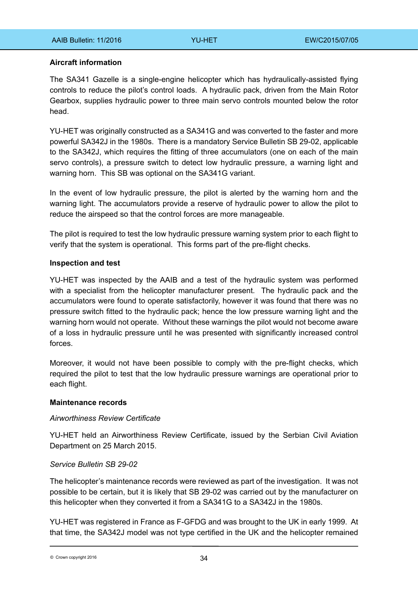## **Aircraft information**

The SA341 Gazelle is a single-engine helicopter which has hydraulically-assisted flying controls to reduce the pilot's control loads. A hydraulic pack, driven from the Main Rotor Gearbox, supplies hydraulic power to three main servo controls mounted below the rotor head.

YU-HET was originally constructed as a SA341G and was converted to the faster and more powerful SA342J in the 1980s. There is a mandatory Service Bulletin SB 29-02, applicable to the SA342J, which requires the fitting of three accumulators (one on each of the main servo controls), a pressure switch to detect low hydraulic pressure, a warning light and warning horn. This SB was optional on the SA341G variant.

In the event of low hydraulic pressure, the pilot is alerted by the warning horn and the warning light. The accumulators provide a reserve of hydraulic power to allow the pilot to reduce the airspeed so that the control forces are more manageable.

The pilot is required to test the low hydraulic pressure warning system prior to each flight to verify that the system is operational. This forms part of the pre-flight checks.

### **Inspection and test**

YU-HET was inspected by the AAIB and a test of the hydraulic system was performed with a specialist from the helicopter manufacturer present. The hydraulic pack and the accumulators were found to operate satisfactorily, however it was found that there was no pressure switch fitted to the hydraulic pack; hence the low pressure warning light and the warning horn would not operate. Without these warnings the pilot would not become aware of a loss in hydraulic pressure until he was presented with significantly increased control forces.

Moreover, it would not have been possible to comply with the pre-flight checks, which required the pilot to test that the low hydraulic pressure warnings are operational prior to each flight.

#### **Maintenance records**

#### *Airworthiness Review Certificate*

YU-HET held an Airworthiness Review Certificate, issued by the Serbian Civil Aviation Department on 25 March 2015.

## *Service Bulletin SB 29-02*

The helicopter's maintenance records were reviewed as part of the investigation. It was not possible to be certain, but it is likely that SB 29-02 was carried out by the manufacturer on this helicopter when they converted it from a SA341G to a SA342J in the 1980s.

YU-HET was registered in France as F-GFDG and was brought to the UK in early 1999. At that time, the SA342J model was not type certified in the UK and the helicopter remained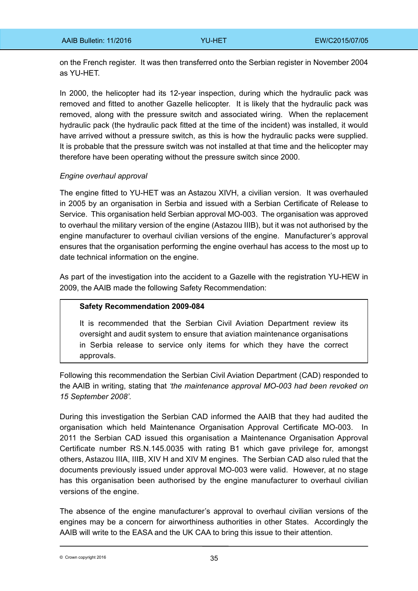on the French register. It was then transferred onto the Serbian register in November 2004 as YU-HET.

In 2000, the helicopter had its 12-year inspection, during which the hydraulic pack was removed and fitted to another Gazelle helicopter. It is likely that the hydraulic pack was removed, along with the pressure switch and associated wiring. When the replacement hydraulic pack (the hydraulic pack fitted at the time of the incident) was installed, it would have arrived without a pressure switch, as this is how the hydraulic packs were supplied. It is probable that the pressure switch was not installed at that time and the helicopter may therefore have been operating without the pressure switch since 2000.

### *Engine overhaul approval*

The engine fitted to YU-HET was an Astazou XIVH, a civilian version. It was overhauled in 2005 by an organisation in Serbia and issued with a Serbian Certificate of Release to Service. This organisation held Serbian approval MO-003. The organisation was approved to overhaul the military version of the engine (Astazou IIIB), but it was not authorised by the engine manufacturer to overhaul civilian versions of the engine. Manufacturer's approval ensures that the organisation performing the engine overhaul has access to the most up to date technical information on the engine.

As part of the investigation into the accident to a Gazelle with the registration YU-HEW in 2009, the AAIB made the following Safety Recommendation:

## **Safety Recommendation 2009-084**

It is recommended that the Serbian Civil Aviation Department review its oversight and audit system to ensure that aviation maintenance organisations in Serbia release to service only items for which they have the correct approvals.

Following this recommendation the Serbian Civil Aviation Department (CAD) responded to the AAIB in writing, stating that *'the maintenance approval MO-003 had been revoked on 15 September 2008'.*

During this investigation the Serbian CAD informed the AAIB that they had audited the organisation which held Maintenance Organisation Approval Certificate MO-003. In 2011 the Serbian CAD issued this organisation a Maintenance Organisation Approval Certificate number RS.N.145.0035 with rating B1 which gave privilege for, amongst others, Astazou IIIA, IIIB, XIV H and XIV M engines. The Serbian CAD also ruled that the documents previously issued under approval MO-003 were valid. However, at no stage has this organisation been authorised by the engine manufacturer to overhaul civilian versions of the engine.

The absence of the engine manufacturer's approval to overhaul civilian versions of the engines may be a concern for airworthiness authorities in other States. Accordingly the AAIB will write to the EASA and the UK CAA to bring this issue to their attention.

 $\degree$  Crown copyright 2016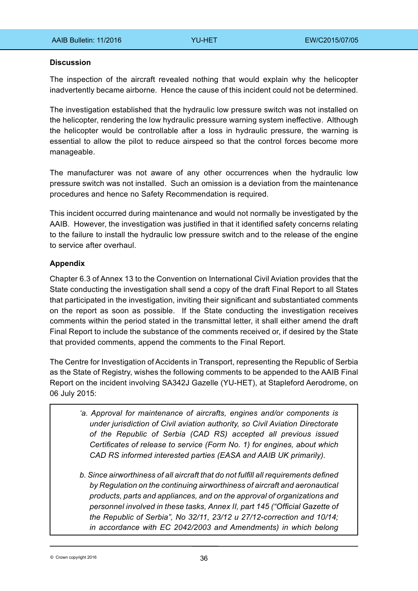### **Discussion**

The inspection of the aircraft revealed nothing that would explain why the helicopter inadvertently became airborne. Hence the cause of this incident could not be determined.

The investigation established that the hydraulic low pressure switch was not installed on the helicopter, rendering the low hydraulic pressure warning system ineffective. Although the helicopter would be controllable after a loss in hydraulic pressure, the warning is essential to allow the pilot to reduce airspeed so that the control forces become more manageable.

The manufacturer was not aware of any other occurrences when the hydraulic low pressure switch was not installed. Such an omission is a deviation from the maintenance procedures and hence no Safety Recommendation is required.

This incident occurred during maintenance and would not normally be investigated by the AAIB. However, the investigation was justified in that it identified safety concerns relating to the failure to install the hydraulic low pressure switch and to the release of the engine to service after overhaul.

## **Appendix**

Chapter 6.3 of Annex 13 to the Convention on International Civil Aviation provides that the State conducting the investigation shall send a copy of the draft Final Report to all States that participated in the investigation, inviting their significant and substantiated comments on the report as soon as possible. If the State conducting the investigation receives comments within the period stated in the transmittal letter, it shall either amend the draft Final Report to include the substance of the comments received or, if desired by the State that provided comments, append the comments to the Final Report.

The Centre for Investigation of Accidents in Transport, representing the Republic of Serbia as the State of Registry, wishes the following comments to be appended to the AAIB Final Report on the incident involving SA342J Gazelle (YU-HET), at Stapleford Aerodrome, on 06 July 2015:

- *'a. Approval for maintenance of aircrafts, engines and/or components is under jurisdiction of Civil aviation authority, so Civil Aviation Directorate of the Republic of Serbia (CAD RS) accepted all previous issued Certificates of release to service (Form No. 1) for engines, about which CAD RS informed interested parties (EASA and AAIB UK primarily).*
- *b. Since airworthiness of all aircraft that do not fulfill all requirements defined by Regulation on the continuing airworthiness of aircraft and aeronautical products, parts and appliances, and on the approval of organizations and personnel involved in these tasks, Annex II, part 145 ("Official Gazette of the Republic of Serbia", No 32/11, 23/12 и 27/12-correction and 10/14; in accordance with EC 2042/2003 and Amendments) in which belong*